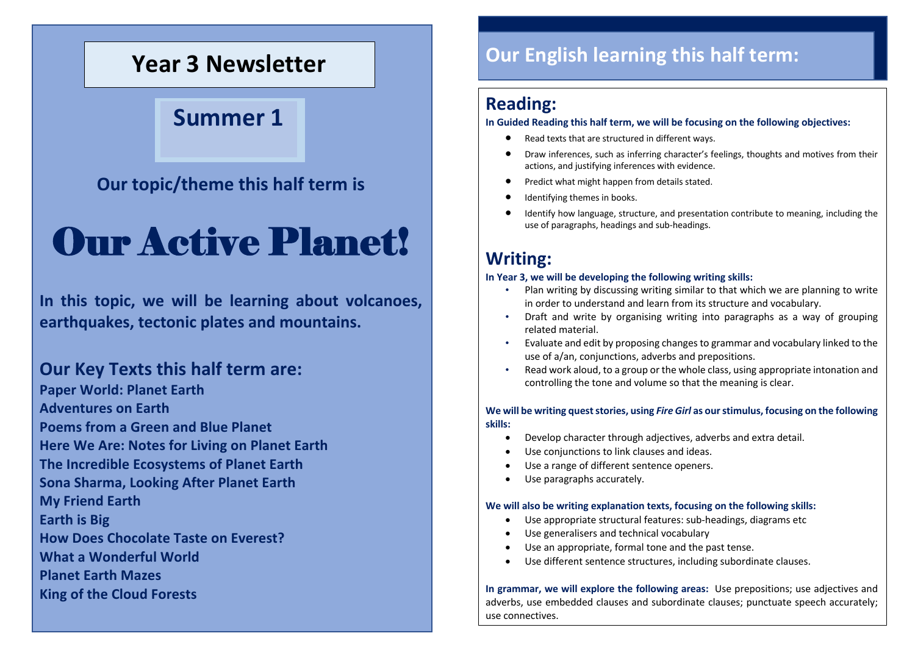## **Year 3 Newsletter**

## **Summer 1**

## **Our topic/theme this half term is**

# Our Active Planet!

**In this topic, we will be learning about volcanoes, earthquakes, tectonic plates and mountains.**

### **Our Key Texts this half term are:**

**Paper World: Planet Earth Adventures on Earth Poems from a Green and Blue Planet Here We Are: Notes for Living on Planet Earth The Incredible Ecosystems of Planet Earth Sona Sharma, Looking After Planet Earth My Friend Earth Earth is Big How Does Chocolate Taste on Everest? What a Wonderful World Planet Earth Mazes King of the Cloud Forests**

## **Our English learning this half term:**

### **Reading:**

### **In Guided Reading this half term, we will be focusing on the following objectives:**

- Read texts that are structured in different ways.
- Draw inferences, such as inferring character's feelings, thoughts and motives from their actions, and justifying inferences with evidence.
- Predict what might happen from details stated.
- Identifying themes in books.
- Identify how language, structure, and presentation contribute to meaning, including the use of paragraphs, headings and sub-headings.

## **Writing:**

### **In Year 3, we will be developing the following writing skills:**

- Plan writing by discussing writing similar to that which we are planning to write in order to understand and learn from its structure and vocabulary.
- Draft and write by organising writing into paragraphs as a way of grouping related material.
- Evaluate and edit by proposing changes to grammar and vocabulary linked to the use of a/an, conjunctions, adverbs and prepositions.
- Read work aloud, to a group or the whole class, using appropriate intonation and controlling the tone and volume so that the meaning is clear.

### **We will be writing quest stories, using** *Fire Girl* **as our stimulus, focusing on the following skills:**

- Develop character through adjectives, adverbs and extra detail.
- Use conjunctions to link clauses and ideas.
- Use a range of different sentence openers.
- Use paragraphs accurately.

### **We will also be writing explanation texts, focusing on the following skills:**

- Use appropriate structural features: sub-headings, diagrams etc
- Use generalisers and technical vocabulary
- Use an appropriate, formal tone and the past tense.
- Use different sentence structures, including subordinate clauses.

**In grammar, we will explore the following areas:** Use prepositions; use adjectives and adverbs, use embedded clauses and subordinate clauses; punctuate speech accurately; use connectives.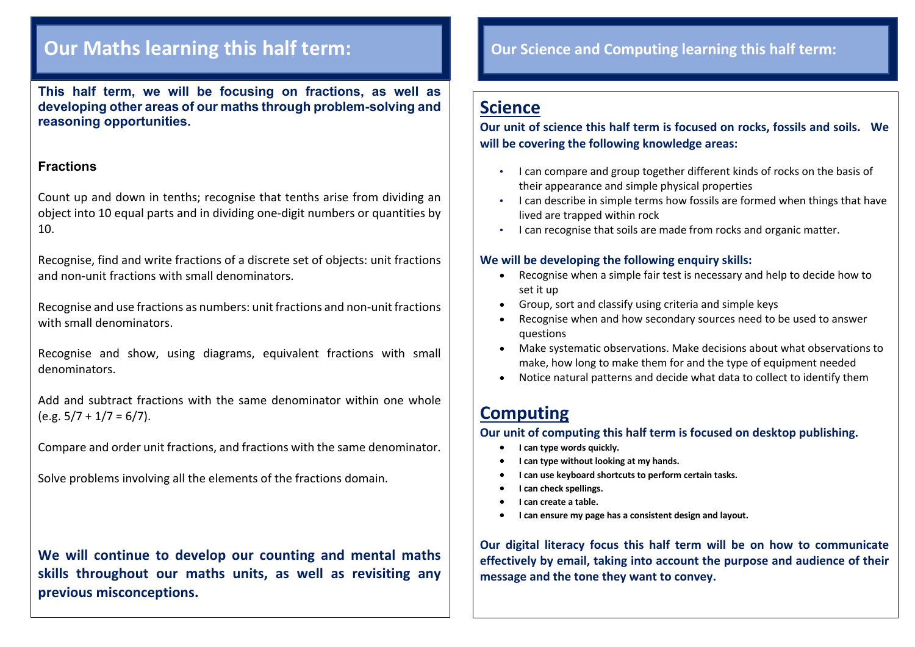## **Our Maths learning this half term:**

**This half term, we will be focusing on fractions, as well as developing other areas of our maths through problem-solving and reasoning opportunities.**

### **Fractions**

Count up and down in tenths; recognise that tenths arise from dividing an object into 10 equal parts and in dividing one-digit numbers or quantities by 10.

Recognise, find and write fractions of a discrete set of objects: unit fractions and non-unit fractions with small denominators.

Recognise and use fractions as numbers: unit fractions and non-unit fractions with small denominators.

Recognise and show, using diagrams, equivalent fractions with small denominators.

Add and subtract fractions with the same denominator within one whole  $(e.g. 5/7 + 1/7 = 6/7).$ 

Compare and order unit fractions, and fractions with the same denominator.

Solve problems involving all the elements of the fractions domain.

**We will continue to develop our counting and mental maths skills throughout our maths units, as well as revisiting any previous misconceptions.**

### **Our Science and Computing learning this half term:**

## **Science**

**Our unit of science this half term is focused on rocks, fossils and soils. We will be covering the following knowledge areas:**

- I can compare and group together different kinds of rocks on the basis of their appearance and simple physical properties
- I can describe in simple terms how fossils are formed when things that have lived are trapped within rock
- I can recognise that soils are made from rocks and organic matter.

### **We will be developing the following enquiry skills:**

- Recognise when a simple fair test is necessary and help to decide how to set it up
- Group, sort and classify using criteria and simple keys
- Recognise when and how secondary sources need to be used to answer questions
- Make systematic observations. Make decisions about what observations to make, how long to make them for and the type of equipment needed
- Notice natural patterns and decide what data to collect to identify them

## **Computing**

**Our unit of computing this half term is focused on desktop publishing.**

- **I can type words quickly.**
- **I can type without looking at my hands.**
- **I can use keyboard shortcuts to perform certain tasks.**
- **I can check spellings.**
- **I can create a table.**
- **I can ensure my page has a consistent design and layout.**

**Our digital literacy focus this half term will be on how to communicate effectively by email, taking into account the purpose and audience of their message and the tone they want to convey.**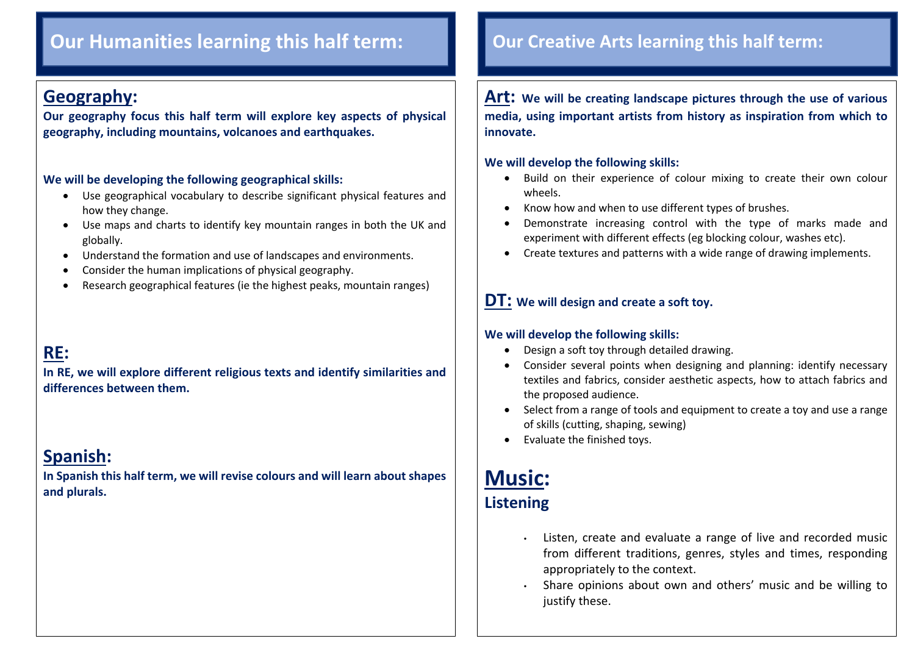## **Our Humanities learning this half term: Our Creative Arts learning this half term:**

### **Geography:**

 $\overline{\phantom{a}}$ 

**Our geography focus this half term will explore key aspects of physical geography, including mountains, volcanoes and earthquakes.** 

### **We will be developing the following geographical skills:**

- Use geographical vocabulary to describe significant physical features and how they change.
- Use maps and charts to identify key mountain ranges in both the UK and globally.
- Understand the formation and use of landscapes and environments.
- Consider the human implications of physical geography.
- Research geographical features (ie the highest peaks, mountain ranges)

## **RE:**

**In RE, we will explore different religious texts and identify similarities and differences between them.**

## **Spanish:**

**In Spanish this half term, we will revise colours and will learn about shapes and plurals.**

**Art: We will be creating landscape pictures through the use of various media, using important artists from history as inspiration from which to innovate.**

### **We will develop the following skills:**

- Build on their experience of colour mixing to create their own colour wheels.
- Know how and when to use different types of brushes.
- Demonstrate increasing control with the type of marks made and experiment with different effects (eg blocking colour, washes etc).
- Create textures and patterns with a wide range of drawing implements.

### **DT: We will design and create a soft toy.**

### **We will develop the following skills:**

- Design a soft toy through detailed drawing.
- Consider several points when designing and planning: identify necessary textiles and fabrics, consider aesthetic aspects, how to attach fabrics and the proposed audience.
- Select from a range of tools and equipment to create a toy and use a range of skills (cutting, shaping, sewing)
- Evaluate the finished toys.

## **Music: Listening**

- Listen, create and evaluate a range of live and recorded music from different traditions, genres, styles and times, responding appropriately to the context.
- Share opinions about own and others' music and be willing to justify these.